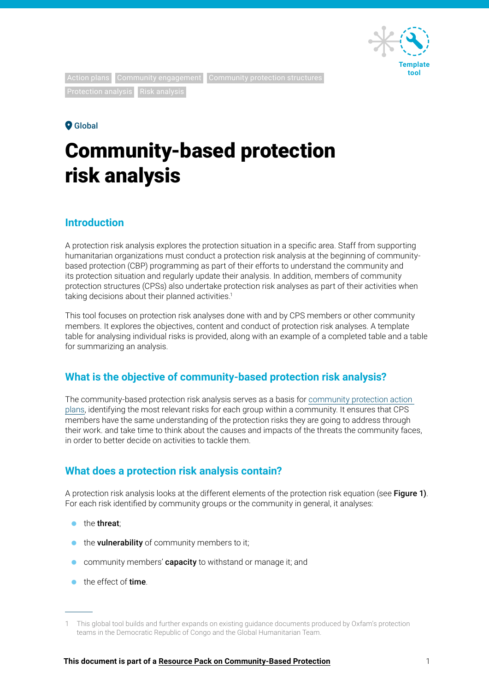

**Protection analysis** Risk analysis

Action plans Community engagement Community protection structures

### **O** Global

# Community-based protection risk analysis

## **Introduction**

A protection risk analysis explores the protection situation in a specific area. Staff from supporting humanitarian organizations must conduct a protection risk analysis at the beginning of communitybased protection (CBP) programming as part of their efforts to understand the community and its protection situation and regularly update their analysis. In addition, members of community protection structures (CPSs) also undertake protection risk analyses as part of their activities when taking decisions about their planned activities.<sup>1</sup>

This tool focuses on protection risk analyses done with and by CPS members or other community members. It explores the objectives, content and conduct of protection risk analyses. A template table for analysing individual risks is provided, along with an example of a completed table and a table for summarizing an analysis.

# **What is the objective of community-based protection risk analysis?**

The community-based protection risk analysis serves as a basis for [community protection action](https://policy-practice.oxfam.org/resources/developing-a-community-protection-action-plan-tools-and-templates-621228/)  [plans](https://oxfam.box.com/s/33y0yt2mtlt1tsl23d80phkgt57xeree), identifying the most relevant risks for each group within a community. It ensures that CPS members have the same understanding of the protection risks they are going to address through their work. and take time to think about the causes and impacts of the threats the community faces, in order to better decide on activities to tackle them.

# **What does a protection risk analysis contain?**

A protection risk analysis looks at the different elements of the protection risk equation (see Figure 1). For each risk identified by community groups or the community in general, it analyses:

- $\bullet$  the threat:
- the vulnerability of community members to it;
- **Community members' capacity** to withstand or manage it; and
- the effect of **time**

<sup>1</sup> This global tool builds and further expands on existing guidance documents produced by Oxfam's protection teams in the Democratic Republic of Congo and the Global Humanitarian Team.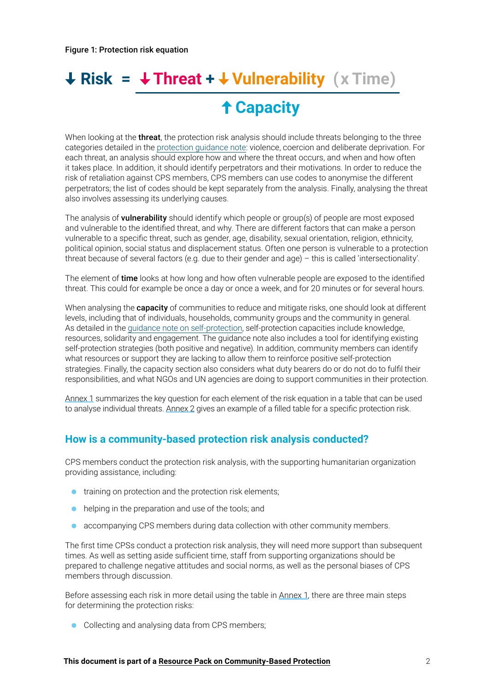# **Risk = Threat + Vulnerability ( x Time) Capacity**

When looking at the **threat**, the protection risk analysis should include threats belonging to the three categories detailed in the [protection guidance note:](https://policy-practice.oxfam.org/resources/what-are-protection-and-community-based-protection-guidance-on-community-protec-621227/) violence, coercion and deliberate deprivation. For each threat, an analysis should explore how and where the threat occurs, and when and how often it takes place. In addition, it should identify perpetrators and their motivations. In order to reduce the risk of retaliation against CPS members, CPS members can use codes to anonymise the different perpetrators; the list of codes should be kept separately from the analysis. Finally, analysing the threat also involves assessing its underlying causes.

The analysis of **vulnerability** should identify which people or group(s) of people are most exposed and vulnerable to the identified threat, and why. There are different factors that can make a person vulnerable to a specific threat, such as gender, age, disability, sexual orientation, religion, ethnicity, political opinion, social status and displacement status. Often one person is vulnerable to a protection threat because of several factors (e.g. due to their gender and age) – this is called 'intersectionality'.

The element of time looks at how long and how often vulnerable people are exposed to the identified threat. This could for example be once a day or once a week, and for 20 minutes or for several hours.

When analysing the **capacity** of communities to reduce and mitigate risks, one should look at different levels, including that of individuals, households, community groups and the community in general. As detailed in the [guidance note on self-protection](https://policy-practice.oxfam.org/resources/supporting-self-protection-a-guidance-note-for-protection-volunteers-and-other-621233/), self-protection capacities include knowledge, resources, solidarity and engagement. The guidance note also includes a tool for identifying existing self-protection strategies (both positive and negative). In addition, community members can identify what resources or support they are lacking to allow them to reinforce positive self-protection strategies. Finally, the capacity section also considers what duty bearers do or do not do to fulfil their responsibilities, and what NGOs and UN agencies are doing to support communities in their protection.

[Annex 1](#page-3-0) summarizes the key question for each element of the risk equation in a table that can be used to analyse individual threats. [Annex 2](#page-4-0) gives an example of a filled table for a specific protection risk.

## **How is a community-based protection risk analysis conducted?**

CPS members conduct the protection risk analysis, with the supporting humanitarian organization providing assistance, including:

- **training on protection and the protection risk elements;**
- helping in the preparation and use of the tools; and
- accompanying CPS members during data collection with other community members.

The first time CPSs conduct a protection risk analysis, they will need more support than subsequent times. As well as setting aside sufficient time, staff from supporting organizations should be prepared to challenge negative attitudes and social norms, as well as the personal biases of CPS members through discussion.

Before assessing each risk in more detail using the table in [Annex 1](#page-3-0), there are three main steps for determining the protection risks:

Collecting and analysing data from CPS members;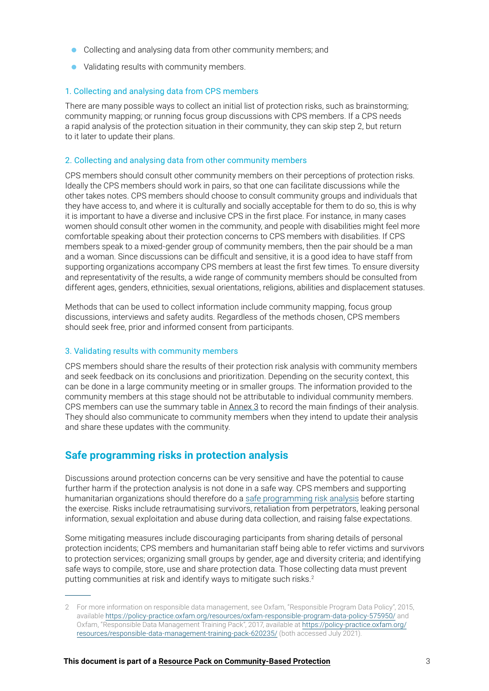- Collecting and analysing data from other community members; and
- Validating results with community members.

#### 1. Collecting and analysing data from CPS members

There are many possible ways to collect an initial list of protection risks, such as brainstorming; community mapping; or running focus group discussions with CPS members. If a CPS needs a rapid analysis of the protection situation in their community, they can skip step 2, but return to it later to update their plans.

#### 2. Collecting and analysing data from other community members

CPS members should consult other community members on their perceptions of protection risks. Ideally the CPS members should work in pairs, so that one can facilitate discussions while the other takes notes. CPS members should choose to consult community groups and individuals that they have access to, and where it is culturally and socially acceptable for them to do so, this is why it is important to have a diverse and inclusive CPS in the first place. For instance, in many cases women should consult other women in the community, and people with disabilities might feel more comfortable speaking about their protection concerns to CPS members with disabilities. If CPS members speak to a mixed-gender group of community members, then the pair should be a man and a woman. Since discussions can be difficult and sensitive, it is a good idea to have staff from supporting organizations accompany CPS members at least the first few times. To ensure diversity and representativity of the results, a wide range of community members should be consulted from different ages, genders, ethnicities, sexual orientations, religions, abilities and displacement statuses.

Methods that can be used to collect information include community mapping, focus group discussions, interviews and safety audits. Regardless of the methods chosen, CPS members should seek free, prior and informed consent from participants.

#### 3. Validating results with community members

CPS members should share the results of their protection risk analysis with community members and seek feedback on its conclusions and prioritization. Depending on the security context, this can be done in a large community meeting or in smaller groups. The information provided to the community members at this stage should not be attributable to individual community members. CPS members can use the summary table in [Annex 3](#page-6-0) to record the main findings of their analysis. They should also communicate to community members when they intend to update their analysis and share these updates with the community.

### **Safe programming risks in protection analysis**

Discussions around protection concerns can be very sensitive and have the potential to cause further harm if the protection analysis is not done in a safe way. CPS members and supporting humanitarian organizations should therefore do a [safe programming risk analysis](https://www.oxfamwash.org/communities/safe-programming/FINAL Safe_Programming_Booket_Digital.pdf) before starting the exercise. Risks include retraumatising survivors, retaliation from perpetrators, leaking personal information, sexual exploitation and abuse during data collection, and raising false expectations.

Some mitigating measures include discouraging participants from sharing details of personal protection incidents; CPS members and humanitarian staff being able to refer victims and survivors to protection services; organizing small groups by gender, age and diversity criteria; and identifying safe ways to compile, store, use and share protection data. Those collecting data must prevent putting communities at risk and identify ways to mitigate such risks.<sup>2</sup>

<sup>2</sup> For more information on responsible data management, see Oxfam, "Responsible Program Data Policy", 2015, available<https://policy-practice.oxfam.org/resources/oxfam-responsible-program-data-policy-575950/>and Oxfam, "Responsible Data Management Training Pack", 2017, available at [https://policy-practice.oxfam.org/](https://policy-practice.oxfam.org/resources/responsible-data-management-training-pack-620235/) [resources/responsible-data-management-training-pack-620235/](https://policy-practice.oxfam.org/resources/responsible-data-management-training-pack-620235/) (both accessed July 2021).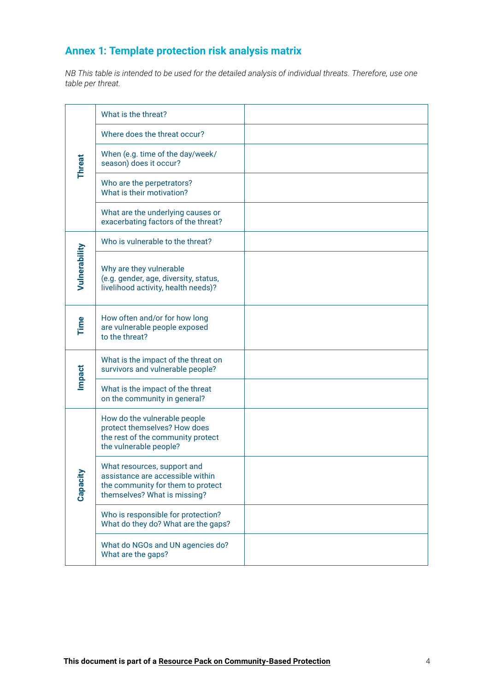# <span id="page-3-0"></span>**Annex 1: Template protection risk analysis matrix**

*NB This table is intended to be used for the detailed analysis of individual threats. Therefore, use one table per threat.*

| <b>Threat</b> | What is the threat?                                                                                                                  |  |
|---------------|--------------------------------------------------------------------------------------------------------------------------------------|--|
|               | Where does the threat occur?                                                                                                         |  |
|               | When (e.g. time of the day/week/<br>season) does it occur?                                                                           |  |
|               | Who are the perpetrators?<br>What is their motivation?                                                                               |  |
|               | What are the underlying causes or<br>exacerbating factors of the threat?                                                             |  |
|               | Who is vulnerable to the threat?                                                                                                     |  |
| Vulnerability | Why are they vulnerable<br>(e.g. gender, age, diversity, status,<br>livelihood activity, health needs)?                              |  |
| Time          | How often and/or for how long<br>are vulnerable people exposed<br>to the threat?                                                     |  |
| <b>Impact</b> | What is the impact of the threat on<br>survivors and vulnerable people?                                                              |  |
|               | What is the impact of the threat<br>on the community in general?                                                                     |  |
| Capacity      | How do the vulnerable people<br>protect themselves? How does<br>the rest of the community protect<br>the vulnerable people?          |  |
|               | What resources, support and<br>assistance are accessible within<br>the community for them to protect<br>themselves? What is missing? |  |
|               | Who is responsible for protection?<br>What do they do? What are the gaps?                                                            |  |
|               | What do NGOs and UN agencies do?<br>What are the gaps?                                                                               |  |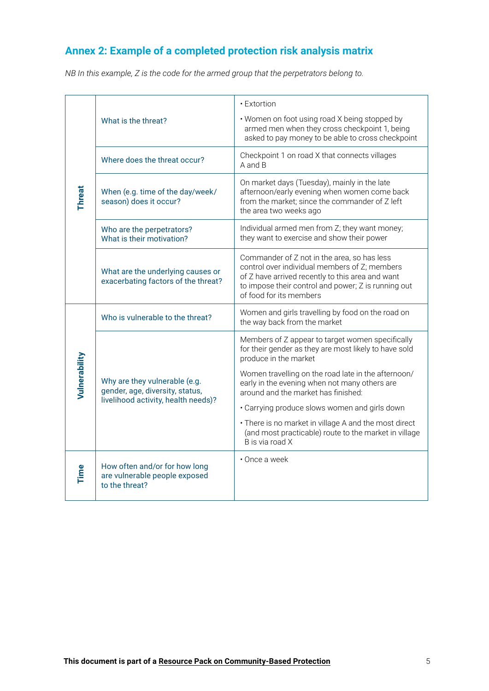# <span id="page-4-0"></span>**Annex 2: Example of a completed protection risk analysis matrix**

*NB In this example, Z is the code for the armed group that the perpetrators belong to.*

| <b>Threat</b> | What is the threat?                                                                                     | • Extortion<br>. Women on foot using road X being stopped by<br>armed men when they cross checkpoint 1, being<br>asked to pay money to be able to cross checkpoint                                                                 |  |
|---------------|---------------------------------------------------------------------------------------------------------|------------------------------------------------------------------------------------------------------------------------------------------------------------------------------------------------------------------------------------|--|
|               | Where does the threat occur?                                                                            | Checkpoint 1 on road X that connects villages<br>A and B                                                                                                                                                                           |  |
|               | When (e.g. time of the day/week/<br>season) does it occur?                                              | On market days (Tuesday), mainly in the late<br>afternoon/early evening when women come back<br>from the market; since the commander of Z left<br>the area two weeks ago                                                           |  |
|               | Who are the perpetrators?<br>What is their motivation?                                                  | Individual armed men from Z; they want money;<br>they want to exercise and show their power                                                                                                                                        |  |
|               | What are the underlying causes or<br>exacerbating factors of the threat?                                | Commander of Z not in the area, so has less<br>control over individual members of Z; members<br>of Z have arrived recently to this area and want<br>to impose their control and power; Z is running out<br>of food for its members |  |
|               | Who is vulnerable to the threat?                                                                        | Women and girls travelling by food on the road on<br>the way back from the market                                                                                                                                                  |  |
| Vulnerability | Why are they vulnerable (e.g.<br>gender, age, diversity, status,<br>livelihood activity, health needs)? | Members of Z appear to target women specifically<br>for their gender as they are most likely to have sold<br>produce in the market                                                                                                 |  |
|               |                                                                                                         | Women travelling on the road late in the afternoon/<br>early in the evening when not many others are<br>around and the market has finished:                                                                                        |  |
|               |                                                                                                         | . Carrying produce slows women and girls down                                                                                                                                                                                      |  |
|               |                                                                                                         | • There is no market in village A and the most direct<br>(and most practicable) route to the market in village<br>B is via road X                                                                                                  |  |
| <b>Time</b>   | How often and/or for how long<br>are vulnerable people exposed<br>to the threat?                        | • Once a week                                                                                                                                                                                                                      |  |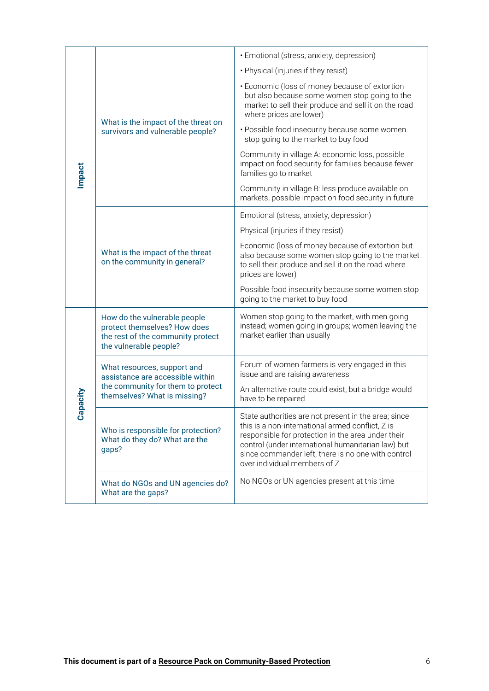| · Emotional (stress, anxiety, depression)<br>· Physical (injuries if they resist)<br>• Economic (loss of money because of extortion<br>but also because some women stop going to the<br>market to sell their produce and sell it on the road<br>where prices are lower)<br>What is the impact of the threat on<br>· Possible food insecurity because some women<br>survivors and vulnerable people?<br>stop going to the market to buy food<br>Community in village A: economic loss, possible<br>impact on food security for families because fewer<br><b>Impact</b><br>families go to market<br>Community in village B: less produce available on<br>markets, possible impact on food security in future<br>Emotional (stress, anxiety, depression)<br>Physical (injuries if they resist)<br>Economic (loss of money because of extortion but<br>What is the impact of the threat<br>also because some women stop going to the market<br>on the community in general?<br>to sell their produce and sell it on the road where<br>prices are lower)<br>Possible food insecurity because some women stop<br>going to the market to buy food<br>Women stop going to the market, with men going<br>How do the vulnerable people<br>instead; women going in groups; women leaving the<br>protect themselves? How does<br>market earlier than usually<br>the rest of the community protect<br>the vulnerable people?<br>Forum of women farmers is very engaged in this<br>What resources, support and<br>issue and are raising awareness<br>assistance are accessible within<br>the community for them to protect<br>An alternative route could exist, but a bridge would<br>Capacity<br>themselves? What is missing?<br>have to be repaired<br>State authorities are not present in the area; since<br>this is a non-international armed conflict, Z is<br>Who is responsible for protection?<br>responsible for protection in the area under their<br>What do they do? What are the<br>control (under international humanitarian law) but<br>gaps?<br>since commander left, there is no one with control<br>over individual members of Z<br>No NGOs or UN agencies present at this time<br>What do NGOs and UN agencies do? |  |                                                                        |   |  |
|--------------------------------------------------------------------------------------------------------------------------------------------------------------------------------------------------------------------------------------------------------------------------------------------------------------------------------------------------------------------------------------------------------------------------------------------------------------------------------------------------------------------------------------------------------------------------------------------------------------------------------------------------------------------------------------------------------------------------------------------------------------------------------------------------------------------------------------------------------------------------------------------------------------------------------------------------------------------------------------------------------------------------------------------------------------------------------------------------------------------------------------------------------------------------------------------------------------------------------------------------------------------------------------------------------------------------------------------------------------------------------------------------------------------------------------------------------------------------------------------------------------------------------------------------------------------------------------------------------------------------------------------------------------------------------------------------------------------------------------------------------------------------------------------------------------------------------------------------------------------------------------------------------------------------------------------------------------------------------------------------------------------------------------------------------------------------------------------------------------------------------------------------------------------------------------------------------------------------|--|------------------------------------------------------------------------|---|--|
|                                                                                                                                                                                                                                                                                                                                                                                                                                                                                                                                                                                                                                                                                                                                                                                                                                                                                                                                                                                                                                                                                                                                                                                                                                                                                                                                                                                                                                                                                                                                                                                                                                                                                                                                                                                                                                                                                                                                                                                                                                                                                                                                                                                                                          |  |                                                                        |   |  |
|                                                                                                                                                                                                                                                                                                                                                                                                                                                                                                                                                                                                                                                                                                                                                                                                                                                                                                                                                                                                                                                                                                                                                                                                                                                                                                                                                                                                                                                                                                                                                                                                                                                                                                                                                                                                                                                                                                                                                                                                                                                                                                                                                                                                                          |  |                                                                        |   |  |
|                                                                                                                                                                                                                                                                                                                                                                                                                                                                                                                                                                                                                                                                                                                                                                                                                                                                                                                                                                                                                                                                                                                                                                                                                                                                                                                                                                                                                                                                                                                                                                                                                                                                                                                                                                                                                                                                                                                                                                                                                                                                                                                                                                                                                          |  |                                                                        |   |  |
|                                                                                                                                                                                                                                                                                                                                                                                                                                                                                                                                                                                                                                                                                                                                                                                                                                                                                                                                                                                                                                                                                                                                                                                                                                                                                                                                                                                                                                                                                                                                                                                                                                                                                                                                                                                                                                                                                                                                                                                                                                                                                                                                                                                                                          |  |                                                                        |   |  |
|                                                                                                                                                                                                                                                                                                                                                                                                                                                                                                                                                                                                                                                                                                                                                                                                                                                                                                                                                                                                                                                                                                                                                                                                                                                                                                                                                                                                                                                                                                                                                                                                                                                                                                                                                                                                                                                                                                                                                                                                                                                                                                                                                                                                                          |  |                                                                        |   |  |
|                                                                                                                                                                                                                                                                                                                                                                                                                                                                                                                                                                                                                                                                                                                                                                                                                                                                                                                                                                                                                                                                                                                                                                                                                                                                                                                                                                                                                                                                                                                                                                                                                                                                                                                                                                                                                                                                                                                                                                                                                                                                                                                                                                                                                          |  |                                                                        |   |  |
|                                                                                                                                                                                                                                                                                                                                                                                                                                                                                                                                                                                                                                                                                                                                                                                                                                                                                                                                                                                                                                                                                                                                                                                                                                                                                                                                                                                                                                                                                                                                                                                                                                                                                                                                                                                                                                                                                                                                                                                                                                                                                                                                                                                                                          |  |                                                                        |   |  |
|                                                                                                                                                                                                                                                                                                                                                                                                                                                                                                                                                                                                                                                                                                                                                                                                                                                                                                                                                                                                                                                                                                                                                                                                                                                                                                                                                                                                                                                                                                                                                                                                                                                                                                                                                                                                                                                                                                                                                                                                                                                                                                                                                                                                                          |  |                                                                        |   |  |
|                                                                                                                                                                                                                                                                                                                                                                                                                                                                                                                                                                                                                                                                                                                                                                                                                                                                                                                                                                                                                                                                                                                                                                                                                                                                                                                                                                                                                                                                                                                                                                                                                                                                                                                                                                                                                                                                                                                                                                                                                                                                                                                                                                                                                          |  |                                                                        |   |  |
|                                                                                                                                                                                                                                                                                                                                                                                                                                                                                                                                                                                                                                                                                                                                                                                                                                                                                                                                                                                                                                                                                                                                                                                                                                                                                                                                                                                                                                                                                                                                                                                                                                                                                                                                                                                                                                                                                                                                                                                                                                                                                                                                                                                                                          |  |                                                                        |   |  |
|                                                                                                                                                                                                                                                                                                                                                                                                                                                                                                                                                                                                                                                                                                                                                                                                                                                                                                                                                                                                                                                                                                                                                                                                                                                                                                                                                                                                                                                                                                                                                                                                                                                                                                                                                                                                                                                                                                                                                                                                                                                                                                                                                                                                                          |  |                                                                        |   |  |
|                                                                                                                                                                                                                                                                                                                                                                                                                                                                                                                                                                                                                                                                                                                                                                                                                                                                                                                                                                                                                                                                                                                                                                                                                                                                                                                                                                                                                                                                                                                                                                                                                                                                                                                                                                                                                                                                                                                                                                                                                                                                                                                                                                                                                          |  |                                                                        |   |  |
|                                                                                                                                                                                                                                                                                                                                                                                                                                                                                                                                                                                                                                                                                                                                                                                                                                                                                                                                                                                                                                                                                                                                                                                                                                                                                                                                                                                                                                                                                                                                                                                                                                                                                                                                                                                                                                                                                                                                                                                                                                                                                                                                                                                                                          |  |                                                                        |   |  |
|                                                                                                                                                                                                                                                                                                                                                                                                                                                                                                                                                                                                                                                                                                                                                                                                                                                                                                                                                                                                                                                                                                                                                                                                                                                                                                                                                                                                                                                                                                                                                                                                                                                                                                                                                                                                                                                                                                                                                                                                                                                                                                                                                                                                                          |  |                                                                        |   |  |
|                                                                                                                                                                                                                                                                                                                                                                                                                                                                                                                                                                                                                                                                                                                                                                                                                                                                                                                                                                                                                                                                                                                                                                                                                                                                                                                                                                                                                                                                                                                                                                                                                                                                                                                                                                                                                                                                                                                                                                                                                                                                                                                                                                                                                          |  | What are the gaps?                                                     |   |  |
|                                                                                                                                                                                                                                                                                                                                                                                                                                                                                                                                                                                                                                                                                                                                                                                                                                                                                                                                                                                                                                                                                                                                                                                                                                                                                                                                                                                                                                                                                                                                                                                                                                                                                                                                                                                                                                                                                                                                                                                                                                                                                                                                                                                                                          |  |                                                                        |   |  |
|                                                                                                                                                                                                                                                                                                                                                                                                                                                                                                                                                                                                                                                                                                                                                                                                                                                                                                                                                                                                                                                                                                                                                                                                                                                                                                                                                                                                                                                                                                                                                                                                                                                                                                                                                                                                                                                                                                                                                                                                                                                                                                                                                                                                                          |  |                                                                        |   |  |
|                                                                                                                                                                                                                                                                                                                                                                                                                                                                                                                                                                                                                                                                                                                                                                                                                                                                                                                                                                                                                                                                                                                                                                                                                                                                                                                                                                                                                                                                                                                                                                                                                                                                                                                                                                                                                                                                                                                                                                                                                                                                                                                                                                                                                          |  |                                                                        |   |  |
|                                                                                                                                                                                                                                                                                                                                                                                                                                                                                                                                                                                                                                                                                                                                                                                                                                                                                                                                                                                                                                                                                                                                                                                                                                                                                                                                                                                                                                                                                                                                                                                                                                                                                                                                                                                                                                                                                                                                                                                                                                                                                                                                                                                                                          |  | This document is part of a Resource Pack on Community-Based Protection | 6 |  |